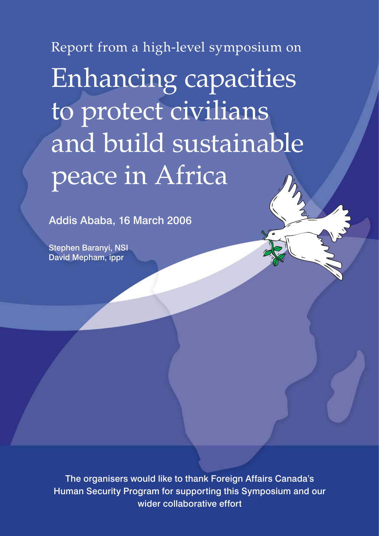Enhancing capacities to protect civilians and build sustainable peace in Africa Report from a high-level symposium on

Addis Ababa, 16 March 2006

Stephen Baranyi, NSI David Mepham, ippr

The organisers would like to thank Foreign Affairs Canada's Human Security Program for supporting this Symposium and our wider collaborative effort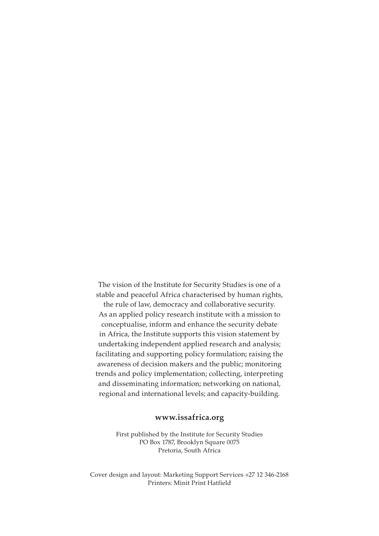The vision of the Institute for Security Studies is one of a stable and peaceful Africa characterised by human rights, the rule of law, democracy and collaborative security. As an applied policy research institute with a mission to conceptualise, inform and enhance the security debate in Africa, the Institute supports this vision statement by undertaking independent applied research and analysis; facilitating and supporting policy formulation; raising the awareness of decision makers and the public; monitoring trends and policy implementation; collecting, interpreting and disseminating information; networking on national, regional and international levels; and capacity-building.

### **www.issafrica.org**

First published by the Institute for Security Studies PO Box 1787, Brooklyn Square 0075 Pretoria, South Africa

Cover design and layout: Marketing Support Services +27 12 346-2168 Printers: Minit Print Hatfield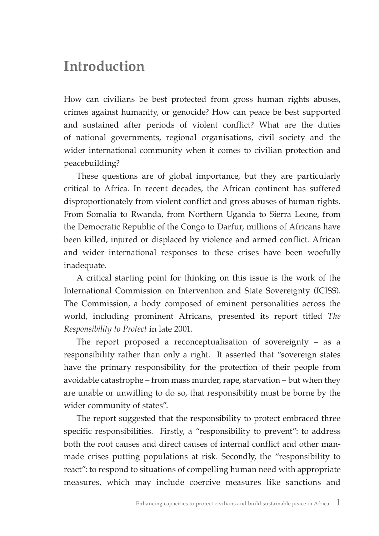## **Introduction**

How can civilians be best protected from gross human rights abuses, crimes against humanity, or genocide? How can peace be best supported and sustained after periods of violent conflict? What are the duties of national governments, regional organisations, civil society and the wider international community when it comes to civilian protection and peacebuilding?

These questions are of global importance, but they are particularly critical to Africa. In recent decades, the African continent has suffered disproportionately from violent conflict and gross abuses of human rights. From Somalia to Rwanda, from Northern Uganda to Sierra Leone, from the Democratic Republic of the Congo to Darfur, millions of Africans have been killed, injured or displaced by violence and armed conflict. African and wider international responses to these crises have been woefully inadequate.

A critical starting point for thinking on this issue is the work of the International Commission on Intervention and State Sovereignty (ICISS). The Commission, a body composed of eminent personalities across the world, including prominent Africans, presented its report titled *The Responsibility to Protect* in late 2001.

The report proposed a reconceptualisation of sovereignty – as a responsibility rather than only a right. It asserted that "sovereign states have the primary responsibility for the protection of their people from avoidable catastrophe – from mass murder, rape, starvation – but when they are unable or unwilling to do so, that responsibility must be borne by the wider community of states".

The report suggested that the responsibility to protect embraced three specific responsibilities. Firstly, a "responsibility to prevent": to address both the root causes and direct causes of internal conflict and other manmade crises putting populations at risk. Secondly, the "responsibility to react": to respond to situations of compelling human need with appropriate measures, which may include coercive measures like sanctions and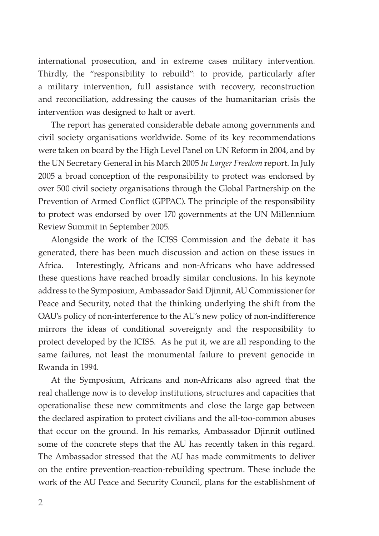international prosecution, and in extreme cases military intervention. Thirdly, the "responsibility to rebuild": to provide, particularly after a military intervention, full assistance with recovery, reconstruction and reconciliation, addressing the causes of the humanitarian crisis the intervention was designed to halt or avert.

The report has generated considerable debate among governments and civil society organisations worldwide. Some of its key recommendations were taken on board by the High Level Panel on UN Reform in 2004, and by the UN Secretary General in his March 2005 *In Larger Freedom* report. In July 2005 a broad conception of the responsibility to protect was endorsed by over 500 civil society organisations through the Global Partnership on the Prevention of Armed Conflict (GPPAC). The principle of the responsibility to protect was endorsed by over 170 governments at the UN Millennium Review Summit in September 2005.

Alongside the work of the ICISS Commission and the debate it has generated, there has been much discussion and action on these issues in Africa. Interestingly, Africans and non-Africans who have addressed these questions have reached broadly similar conclusions. In his keynote address to the Symposium, Ambassador Said Djinnit, AU Commissioner for Peace and Security, noted that the thinking underlying the shift from the OAU's policy of non-interference to the AU's new policy of non-indifference mirrors the ideas of conditional sovereignty and the responsibility to protect developed by the ICISS. As he put it, we are all responding to the same failures, not least the monumental failure to prevent genocide in Rwanda in 1994.

At the Symposium, Africans and non-Africans also agreed that the real challenge now is to develop institutions, structures and capacities that operationalise these new commitments and close the large gap between the declared aspiration to protect civilians and the all-too-common abuses that occur on the ground. In his remarks, Ambassador Djinnit outlined some of the concrete steps that the AU has recently taken in this regard. The Ambassador stressed that the AU has made commitments to deliver on the entire prevention-reaction-rebuilding spectrum. These include the work of the AU Peace and Security Council, plans for the establishment of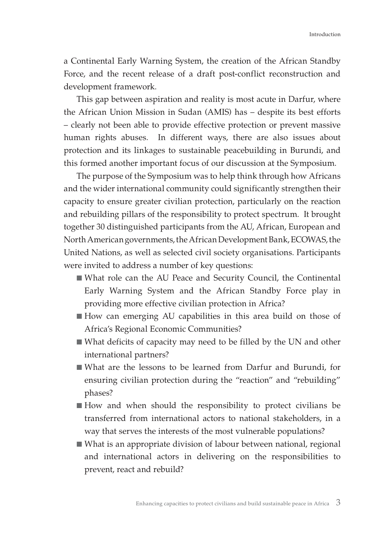a Continental Early Warning System, the creation of the African Standby Force, and the recent release of a draft post-conflict reconstruction and development framework.

This gap between aspiration and reality is most acute in Darfur, where the African Union Mission in Sudan (AMIS) has – despite its best efforts – clearly not been able to provide effective protection or prevent massive human rights abuses. In different ways, there are also issues about protection and its linkages to sustainable peacebuilding in Burundi, and this formed another important focus of our discussion at the Symposium.

The purpose of the Symposium was to help think through how Africans and the wider international community could significantly strengthen their capacity to ensure greater civilian protection, particularly on the reaction and rebuilding pillars of the responsibility to protect spectrum. It brought together 30 distinguished participants from the AU, African, European and North American governments, the African Development Bank, ECOWAS, the United Nations, as well as selected civil society organisations. Participants were invited to address a number of key questions:

- What role can the AU Peace and Security Council, the Continental Early Warning System and the African Standby Force play in providing more effective civilian protection in Africa?
- How can emerging AU capabilities in this area build on those of Africa's Regional Economic Communities?
- What deficits of capacity may need to be filled by the UN and other international partners?
- What are the lessons to be learned from Darfur and Burundi, for ensuring civilian protection during the "reaction" and "rebuilding" phases?
- How and when should the responsibility to protect civilians be transferred from international actors to national stakeholders, in a way that serves the interests of the most vulnerable populations?
- What is an appropriate division of labour between national, regional and international actors in delivering on the responsibilities to prevent, react and rebuild?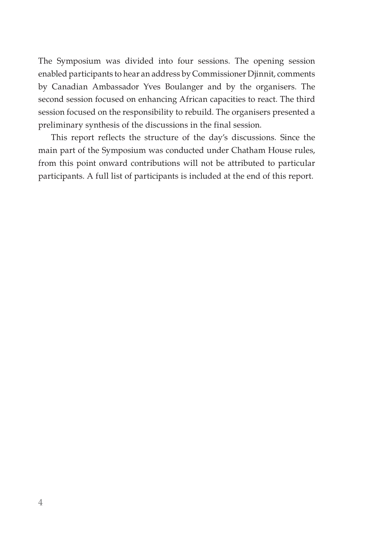The Symposium was divided into four sessions. The opening session enabled participants to hear an address by Commissioner Djinnit, comments by Canadian Ambassador Yves Boulanger and by the organisers. The second session focused on enhancing African capacities to react. The third session focused on the responsibility to rebuild. The organisers presented a preliminary synthesis of the discussions in the final session.

This report reflects the structure of the day's discussions. Since the main part of the Symposium was conducted under Chatham House rules, from this point onward contributions will not be attributed to particular participants. A full list of participants is included at the end of this report.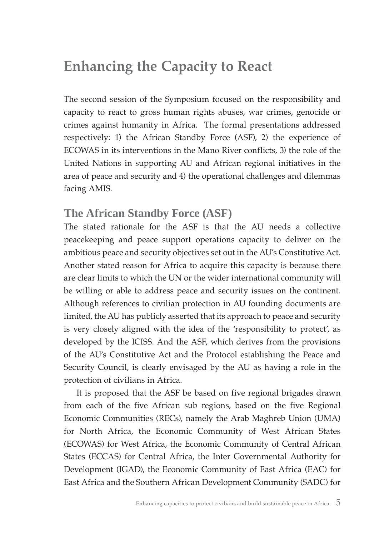# **Enhancing the Capacity to React**

The second session of the Symposium focused on the responsibility and capacity to react to gross human rights abuses, war crimes, genocide or crimes against humanity in Africa. The formal presentations addressed respectively: 1) the African Standby Force (ASF), 2) the experience of ECOWAS in its interventions in the Mano River conflicts, 3) the role of the United Nations in supporting AU and African regional initiatives in the area of peace and security and 4) the operational challenges and dilemmas facing AMIS.

## **The African Standby Force (ASF)**

The stated rationale for the ASF is that the AU needs a collective peacekeeping and peace support operations capacity to deliver on the ambitious peace and security objectives set out in the AU's Constitutive Act. Another stated reason for Africa to acquire this capacity is because there are clear limits to which the UN or the wider international community will be willing or able to address peace and security issues on the continent. Although references to civilian protection in AU founding documents are limited, the AU has publicly asserted that its approach to peace and security is very closely aligned with the idea of the 'responsibility to protect', as developed by the ICISS. And the ASF, which derives from the provisions of the AU's Constitutive Act and the Protocol establishing the Peace and Security Council, is clearly envisaged by the AU as having a role in the protection of civilians in Africa.

It is proposed that the ASF be based on five regional brigades drawn from each of the five African sub regions, based on the five Regional Economic Communities (RECs), namely the Arab Maghreb Union (UMA) for North Africa, the Economic Community of West African States (ECOWAS) for West Africa, the Economic Community of Central African States (ECCAS) for Central Africa, the Inter Governmental Authority for Development (IGAD), the Economic Community of East Africa (EAC) for East Africa and the Southern African Development Community (SADC) for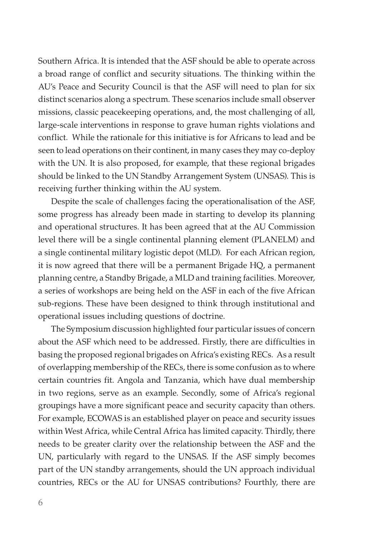Southern Africa. It is intended that the ASF should be able to operate across a broad range of conflict and security situations. The thinking within the AU's Peace and Security Council is that the ASF will need to plan for six distinct scenarios along a spectrum. These scenarios include small observer missions, classic peacekeeping operations, and, the most challenging of all, large-scale interventions in response to grave human rights violations and conflict. While the rationale for this initiative is for Africans to lead and be seen to lead operations on their continent, in many cases they may co-deploy with the UN. It is also proposed, for example, that these regional brigades should be linked to the UN Standby Arrangement System (UNSAS). This is receiving further thinking within the AU system.

Despite the scale of challenges facing the operationalisation of the ASF, some progress has already been made in starting to develop its planning and operational structures. It has been agreed that at the AU Commission level there will be a single continental planning element (PLANELM) and a single continental military logistic depot (MLD). For each African region, it is now agreed that there will be a permanent Brigade HQ, a permanent planning centre, a Standby Brigade, a MLD and training facilities. Moreover, a series of workshops are being held on the ASF in each of the five African sub-regions. These have been designed to think through institutional and operational issues including questions of doctrine.

The Symposium discussion highlighted four particular issues of concern about the ASF which need to be addressed. Firstly, there are difficulties in basing the proposed regional brigades on Africa's existing RECs. As a result of overlapping membership of the RECs, there is some confusion as to where certain countries fit. Angola and Tanzania, which have dual membership in two regions, serve as an example. Secondly, some of Africa's regional groupings have a more significant peace and security capacity than others. For example, ECOWAS is an established player on peace and security issues within West Africa, while Central Africa has limited capacity. Thirdly, there needs to be greater clarity over the relationship between the ASF and the UN, particularly with regard to the UNSAS. If the ASF simply becomes part of the UN standby arrangements, should the UN approach individual countries, RECs or the AU for UNSAS contributions? Fourthly, there are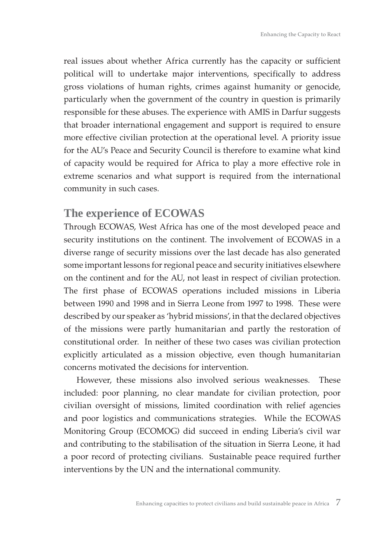real issues about whether Africa currently has the capacity or sufficient political will to undertake major interventions, specifically to address gross violations of human rights, crimes against humanity or genocide, particularly when the government of the country in question is primarily responsible for these abuses. The experience with AMIS in Darfur suggests that broader international engagement and support is required to ensure more effective civilian protection at the operational level. A priority issue for the AU's Peace and Security Council is therefore to examine what kind of capacity would be required for Africa to play a more effective role in extreme scenarios and what support is required from the international community in such cases.

## **The experience of ECOWAS**

Through ECOWAS, West Africa has one of the most developed peace and security institutions on the continent. The involvement of ECOWAS in a diverse range of security missions over the last decade has also generated some important lessons for regional peace and security initiatives elsewhere on the continent and for the AU, not least in respect of civilian protection. The first phase of ECOWAS operations included missions in Liberia between 1990 and 1998 and in Sierra Leone from 1997 to 1998. These were described by our speaker as 'hybrid missions', in that the declared objectives of the missions were partly humanitarian and partly the restoration of constitutional order. In neither of these two cases was civilian protection explicitly articulated as a mission objective, even though humanitarian concerns motivated the decisions for intervention.

However, these missions also involved serious weaknesses. These included: poor planning, no clear mandate for civilian protection, poor civilian oversight of missions, limited coordination with relief agencies and poor logistics and communications strategies. While the ECOWAS Monitoring Group (ECOMOG) did succeed in ending Liberia's civil war and contributing to the stabilisation of the situation in Sierra Leone, it had a poor record of protecting civilians. Sustainable peace required further interventions by the UN and the international community.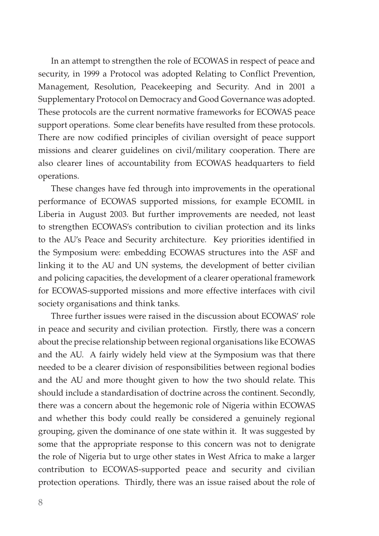In an attempt to strengthen the role of ECOWAS in respect of peace and security, in 1999 a Protocol was adopted Relating to Conflict Prevention, Management, Resolution, Peacekeeping and Security. And in 2001 a Supplementary Protocol on Democracy and Good Governance was adopted. These protocols are the current normative frameworks for ECOWAS peace support operations. Some clear benefits have resulted from these protocols. There are now codified principles of civilian oversight of peace support missions and clearer guidelines on civil/military cooperation. There are also clearer lines of accountability from ECOWAS headquarters to field operations.

These changes have fed through into improvements in the operational performance of ECOWAS supported missions, for example ECOMIL in Liberia in August 2003. But further improvements are needed, not least to strengthen ECOWAS's contribution to civilian protection and its links to the AU's Peace and Security architecture. Key priorities identified in the Symposium were: embedding ECOWAS structures into the ASF and linking it to the AU and UN systems, the development of better civilian and policing capacities, the development of a clearer operational framework for ECOWAS-supported missions and more effective interfaces with civil society organisations and think tanks.

Three further issues were raised in the discussion about ECOWAS' role in peace and security and civilian protection. Firstly, there was a concern about the precise relationship between regional organisations like ECOWAS and the AU. A fairly widely held view at the Symposium was that there needed to be a clearer division of responsibilities between regional bodies and the AU and more thought given to how the two should relate. This should include a standardisation of doctrine across the continent. Secondly, there was a concern about the hegemonic role of Nigeria within ECOWAS and whether this body could really be considered a genuinely regional grouping, given the dominance of one state within it. It was suggested by some that the appropriate response to this concern was not to denigrate the role of Nigeria but to urge other states in West Africa to make a larger contribution to ECOWAS-supported peace and security and civilian protection operations. Thirdly, there was an issue raised about the role of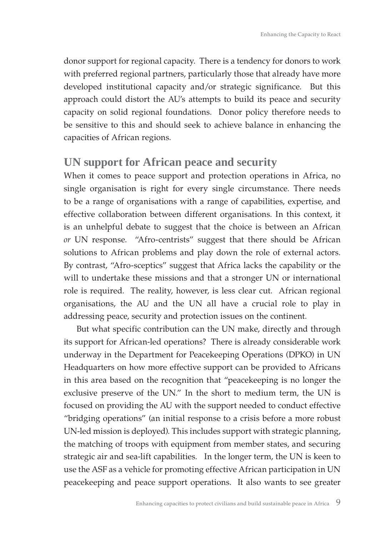donor support for regional capacity. There is a tendency for donors to work with preferred regional partners, particularly those that already have more developed institutional capacity and/or strategic significance. But this approach could distort the AU's attempts to build its peace and security capacity on solid regional foundations. Donor policy therefore needs to be sensitive to this and should seek to achieve balance in enhancing the capacities of African regions.

## **UN support for African peace and security**

When it comes to peace support and protection operations in Africa, no single organisation is right for every single circumstance. There needs to be a range of organisations with a range of capabilities, expertise, and effective collaboration between different organisations. In this context, it is an unhelpful debate to suggest that the choice is between an African *or* UN response. "Afro-centrists" suggest that there should be African solutions to African problems and play down the role of external actors. By contrast, "Afro-sceptics" suggest that Africa lacks the capability or the will to undertake these missions and that a stronger UN or international role is required. The reality, however, is less clear cut. African regional organisations, the AU and the UN all have a crucial role to play in addressing peace, security and protection issues on the continent.

But what specific contribution can the UN make, directly and through its support for African-led operations? There is already considerable work underway in the Department for Peacekeeping Operations (DPKO) in UN Headquarters on how more effective support can be provided to Africans in this area based on the recognition that "peacekeeping is no longer the exclusive preserve of the UN." In the short to medium term, the UN is focused on providing the AU with the support needed to conduct effective "bridging operations" (an initial response to a crisis before a more robust UN-led mission is deployed). This includes support with strategic planning, the matching of troops with equipment from member states, and securing strategic air and sea-lift capabilities. In the longer term, the UN is keen to use the ASF as a vehicle for promoting effective African participation in UN peacekeeping and peace support operations. It also wants to see greater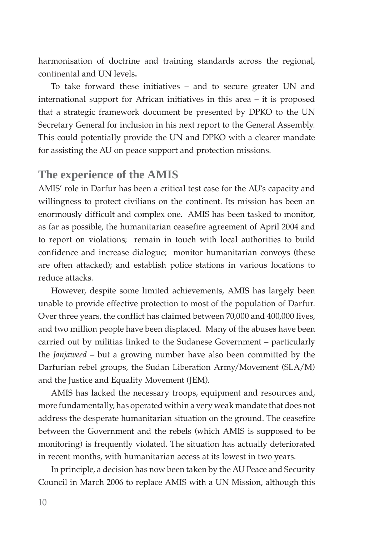harmonisation of doctrine and training standards across the regional, continental and UN levels**.** 

To take forward these initiatives – and to secure greater UN and international support for African initiatives in this area – it is proposed that a strategic framework document be presented by DPKO to the UN Secretary General for inclusion in his next report to the General Assembly. This could potentially provide the UN and DPKO with a clearer mandate for assisting the AU on peace support and protection missions.

## **The experience of the AMIS**

AMIS' role in Darfur has been a critical test case for the AU's capacity and willingness to protect civilians on the continent. Its mission has been an enormously difficult and complex one. AMIS has been tasked to monitor, as far as possible, the humanitarian ceasefire agreement of April 2004 and to report on violations; remain in touch with local authorities to build confidence and increase dialogue; monitor humanitarian convoys (these are often attacked); and establish police stations in various locations to reduce attacks.

However, despite some limited achievements, AMIS has largely been unable to provide effective protection to most of the population of Darfur. Over three years, the conflict has claimed between 70,000 and 400,000 lives, and two million people have been displaced. Many of the abuses have been carried out by militias linked to the Sudanese Government – particularly the *Janjaweed* – but a growing number have also been committed by the Darfurian rebel groups, the Sudan Liberation Army/Movement (SLA/M) and the Justice and Equality Movement (JEM).

AMIS has lacked the necessary troops, equipment and resources and, more fundamentally, has operated within a very weak mandate that does not address the desperate humanitarian situation on the ground. The ceasefire between the Government and the rebels (which AMIS is supposed to be monitoring) is frequently violated. The situation has actually deteriorated in recent months, with humanitarian access at its lowest in two years.

In principle, a decision has now been taken by the AU Peace and Security Council in March 2006 to replace AMIS with a UN Mission, although this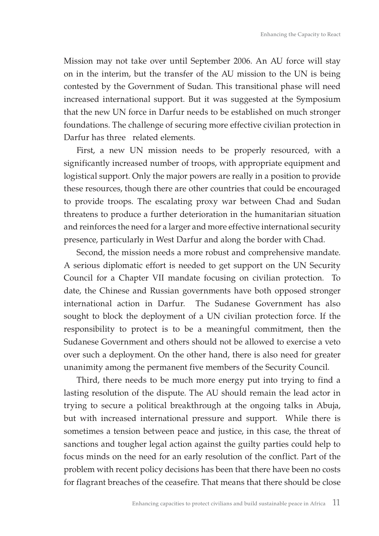Mission may not take over until September 2006. An AU force will stay on in the interim, but the transfer of the AU mission to the UN is being contested by the Government of Sudan. This transitional phase will need increased international support. But it was suggested at the Symposium that the new UN force in Darfur needs to be established on much stronger foundations. The challenge of securing more effective civilian protection in Darfur has three related elements.

First, a new UN mission needs to be properly resourced, with a significantly increased number of troops, with appropriate equipment and logistical support. Only the major powers are really in a position to provide these resources, though there are other countries that could be encouraged to provide troops. The escalating proxy war between Chad and Sudan threatens to produce a further deterioration in the humanitarian situation and reinforces the need for a larger and more effective international security presence, particularly in West Darfur and along the border with Chad.

Second, the mission needs a more robust and comprehensive mandate. A serious diplomatic effort is needed to get support on the UN Security Council for a Chapter VII mandate focusing on civilian protection. To date, the Chinese and Russian governments have both opposed stronger international action in Darfur. The Sudanese Government has also sought to block the deployment of a UN civilian protection force. If the responsibility to protect is to be a meaningful commitment, then the Sudanese Government and others should not be allowed to exercise a veto over such a deployment. On the other hand, there is also need for greater unanimity among the permanent five members of the Security Council.

Third, there needs to be much more energy put into trying to find a lasting resolution of the dispute. The AU should remain the lead actor in trying to secure a political breakthrough at the ongoing talks in Abuja, but with increased international pressure and support. While there is sometimes a tension between peace and justice, in this case, the threat of sanctions and tougher legal action against the guilty parties could help to focus minds on the need for an early resolution of the conflict. Part of the problem with recent policy decisions has been that there have been no costs for flagrant breaches of the ceasefire. That means that there should be close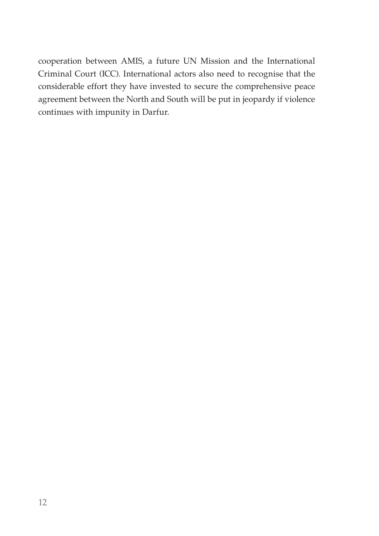cooperation between AMIS, a future UN Mission and the International Criminal Court (ICC). International actors also need to recognise that the considerable effort they have invested to secure the comprehensive peace agreement between the North and South will be put in jeopardy if violence continues with impunity in Darfur.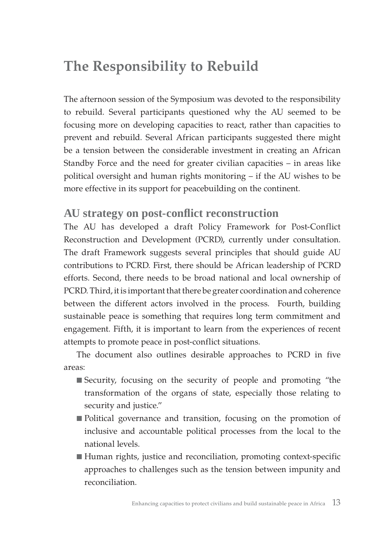# **The Responsibility to Rebuild**

The afternoon session of the Symposium was devoted to the responsibility to rebuild. Several participants questioned why the AU seemed to be focusing more on developing capacities to react, rather than capacities to prevent and rebuild. Several African participants suggested there might be a tension between the considerable investment in creating an African Standby Force and the need for greater civilian capacities – in areas like political oversight and human rights monitoring – if the AU wishes to be more effective in its support for peacebuilding on the continent.

## **AU strategy on post-confl ict reconstruction**

The AU has developed a draft Policy Framework for Post-Conflict Reconstruction and Development (PCRD), currently under consultation. The draft Framework suggests several principles that should guide AU contributions to PCRD. First, there should be African leadership of PCRD efforts. Second, there needs to be broad national and local ownership of PCRD. Third, it is important that there be greater coordination and coherence between the different actors involved in the process. Fourth, building sustainable peace is something that requires long term commitment and engagement. Fifth, it is important to learn from the experiences of recent attempts to promote peace in post-conflict situations.

The document also outlines desirable approaches to PCRD in five areas:

- Security, focusing on the security of people and promoting "the transformation of the organs of state, especially those relating to security and justice."
- Political governance and transition, focusing on the promotion of inclusive and accountable political processes from the local to the national levels.
- Human rights, justice and reconciliation, promoting context-specific approaches to challenges such as the tension between impunity and reconciliation.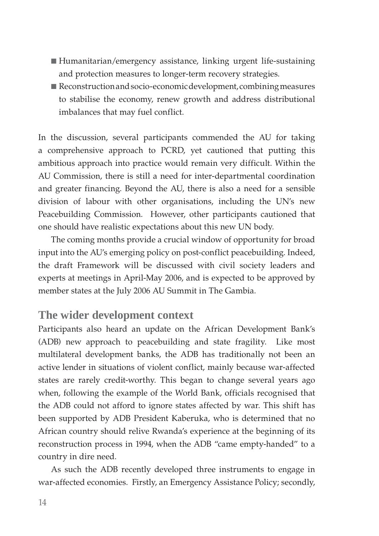- ■Humanitarian/emergency assistance, linking urgent life-sustaining and protection measures to longer-term recovery strategies.
- Reconstruction and socio-economic development, combining measures to stabilise the economy, renew growth and address distributional imbalances that may fuel conflict.

In the discussion, several participants commended the AU for taking a comprehensive approach to PCRD, yet cautioned that putting this ambitious approach into practice would remain very difficult. Within the AU Commission, there is still a need for inter-departmental coordination and greater financing. Beyond the AU, there is also a need for a sensible division of labour with other organisations, including the UN's new Peacebuilding Commission. However, other participants cautioned that one should have realistic expectations about this new UN body.

The coming months provide a crucial window of opportunity for broad input into the AU's emerging policy on post-conflict peacebuilding. Indeed, the draft Framework will be discussed with civil society leaders and experts at meetings in April-May 2006, and is expected to be approved by member states at the July 2006 AU Summit in The Gambia.

### **The wider development context**

Participants also heard an update on the African Development Bank's (ADB) new approach to peacebuilding and state fragility. Like most multilateral development banks, the ADB has traditionally not been an active lender in situations of violent conflict, mainly because war-affected states are rarely credit-worthy. This began to change several years ago when, following the example of the World Bank, officials recognised that the ADB could not afford to ignore states affected by war. This shift has been supported by ADB President Kaberuka, who is determined that no African country should relive Rwanda's experience at the beginning of its reconstruction process in 1994, when the ADB "came empty-handed" to a country in dire need.

As such the ADB recently developed three instruments to engage in war-affected economies. Firstly, an Emergency Assistance Policy; secondly,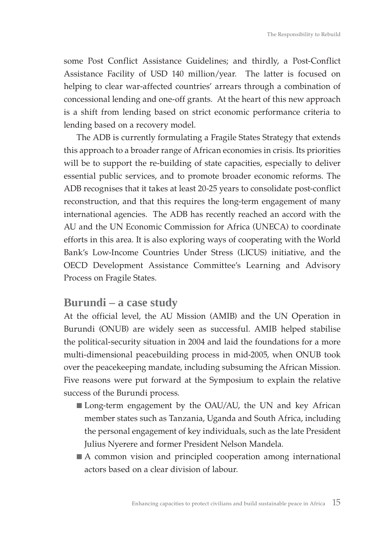some Post Conflict Assistance Guidelines; and thirdly, a Post-Conflict Assistance Facility of USD 140 million/year. The latter is focused on helping to clear war-affected countries' arrears through a combination of concessional lending and one-off grants. At the heart of this new approach is a shift from lending based on strict economic performance criteria to lending based on a recovery model.

The ADB is currently formulating a Fragile States Strategy that extends this approach to a broader range of African economies in crisis. Its priorities will be to support the re-building of state capacities, especially to deliver essential public services, and to promote broader economic reforms. The ADB recognises that it takes at least 20-25 years to consolidate post-conflict reconstruction, and that this requires the long-term engagement of many international agencies. The ADB has recently reached an accord with the AU and the UN Economic Commission for Africa (UNECA) to coordinate efforts in this area. It is also exploring ways of cooperating with the World Bank's Low-Income Countries Under Stress (LICUS) initiative, and the OECD Development Assistance Committee's Learning and Advisory Process on Fragile States.

### **Burundi – a case study**

At the official level, the AU Mission (AMIB) and the UN Operation in Burundi (ONUB) are widely seen as successful. AMIB helped stabilise the political-security situation in 2004 and laid the foundations for a more multi-dimensional peacebuilding process in mid-2005, when ONUB took over the peacekeeping mandate, including subsuming the African Mission. Five reasons were put forward at the Symposium to explain the relative success of the Burundi process.

- Long-term engagement by the OAU/AU, the UN and key African member states such as Tanzania, Uganda and South Africa, including the personal engagement of key individuals, such as the late President Julius Nyerere and former President Nelson Mandela.
- A common vision and principled cooperation among international actors based on a clear division of labour.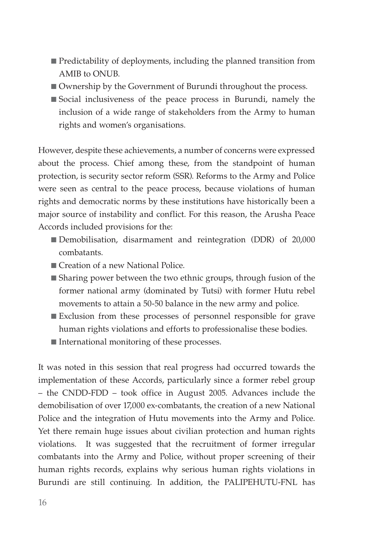- Predictability of deployments, including the planned transition from AMIR to ONI IR
- Ownership by the Government of Burundi throughout the process.
- Social inclusiveness of the peace process in Burundi, namely the inclusion of a wide range of stakeholders from the Army to human rights and women's organisations.

However, despite these achievements, a number of concerns were expressed about the process. Chief among these, from the standpoint of human protection, is security sector reform (SSR). Reforms to the Army and Police were seen as central to the peace process, because violations of human rights and democratic norms by these institutions have historically been a major source of instability and conflict. For this reason, the Arusha Peace Accords included provisions for the:

- Demobilisation, disarmament and reintegration (DDR) of 20,000 combatants.
- Creation of a new National Police.
- Sharing power between the two ethnic groups, through fusion of the former national army (dominated by Tutsi) with former Hutu rebel movements to attain a 50-50 balance in the new army and police.
- Exclusion from these processes of personnel responsible for grave human rights violations and efforts to professionalise these bodies.
- International monitoring of these processes.

It was noted in this session that real progress had occurred towards the implementation of these Accords, particularly since a former rebel group – the CNDD-FDD – took office in August 2005. Advances include the demobilisation of over 17,000 ex-combatants, the creation of a new National Police and the integration of Hutu movements into the Army and Police. Yet there remain huge issues about civilian protection and human rights violations. It was suggested that the recruitment of former irregular combatants into the Army and Police, without proper screening of their human rights records, explains why serious human rights violations in Burundi are still continuing. In addition, the PALIPEHUTU-FNL has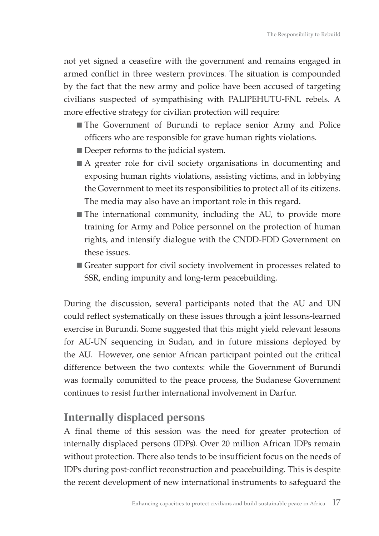not yet signed a ceasefire with the government and remains engaged in armed conflict in three western provinces. The situation is compounded by the fact that the new army and police have been accused of targeting civilians suspected of sympathising with PALIPEHUTU-FNL rebels. A more effective strategy for civilian protection will require:

- The Government of Burundi to replace senior Army and Police officers who are responsible for grave human rights violations.
- Deeper reforms to the judicial system.
- A greater role for civil society organisations in documenting and exposing human rights violations, assisting victims, and in lobbying the Government to meet its responsibilities to protect all of its citizens. The media may also have an important role in this regard.
- The international community, including the AU, to provide more training for Army and Police personnel on the protection of human rights, and intensify dialogue with the CNDD-FDD Government on these issues.
- Greater support for civil society involvement in processes related to SSR, ending impunity and long-term peacebuilding.

During the discussion, several participants noted that the AU and UN could reflect systematically on these issues through a joint lessons-learned exercise in Burundi. Some suggested that this might yield relevant lessons for AU-UN sequencing in Sudan, and in future missions deployed by the AU. However, one senior African participant pointed out the critical difference between the two contexts: while the Government of Burundi was formally committed to the peace process, the Sudanese Government continues to resist further international involvement in Darfur.

## **Internally displaced persons**

A final theme of this session was the need for greater protection of internally displaced persons (IDPs). Over 20 million African IDPs remain without protection. There also tends to be insufficient focus on the needs of IDPs during post-conflict reconstruction and peacebuilding. This is despite the recent development of new international instruments to safeguard the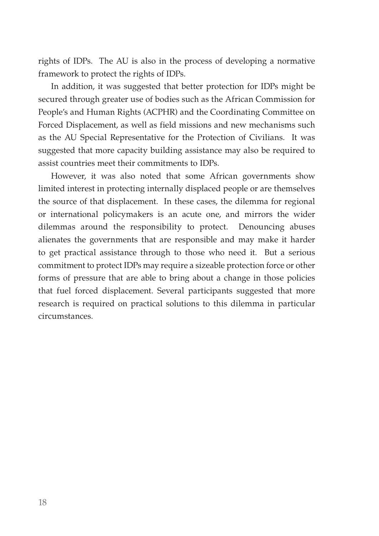rights of IDPs. The AU is also in the process of developing a normative framework to protect the rights of IDPs.

In addition, it was suggested that better protection for IDPs might be secured through greater use of bodies such as the African Commission for People's and Human Rights (ACPHR) and the Coordinating Committee on Forced Displacement, as well as field missions and new mechanisms such as the AU Special Representative for the Protection of Civilians. It was suggested that more capacity building assistance may also be required to assist countries meet their commitments to IDPs.

However, it was also noted that some African governments show limited interest in protecting internally displaced people or are themselves the source of that displacement. In these cases, the dilemma for regional or international policymakers is an acute one, and mirrors the wider dilemmas around the responsibility to protect. Denouncing abuses alienates the governments that are responsible and may make it harder to get practical assistance through to those who need it. But a serious commitment to protect IDPs may require a sizeable protection force or other forms of pressure that are able to bring about a change in those policies that fuel forced displacement. Several participants suggested that more research is required on practical solutions to this dilemma in particular circumstances.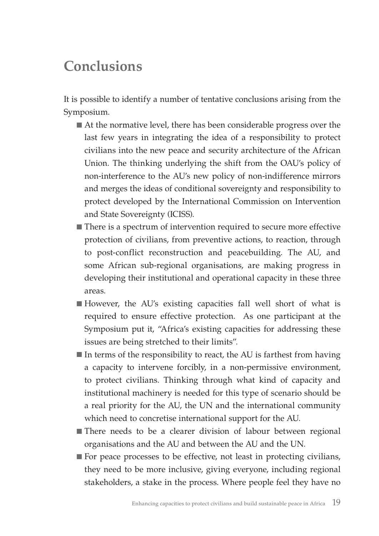# **Conclusions**

It is possible to identify a number of tentative conclusions arising from the Symposium.

- At the normative level, there has been considerable progress over the last few years in integrating the idea of a responsibility to protect civilians into the new peace and security architecture of the African Union. The thinking underlying the shift from the OAU's policy of non-interference to the AU's new policy of non-indifference mirrors and merges the ideas of conditional sovereignty and responsibility to protect developed by the International Commission on Intervention and State Sovereignty (ICISS).
- There is a spectrum of intervention required to secure more effective protection of civilians, from preventive actions, to reaction, through to post-conflict reconstruction and peacebuilding. The AU, and some African sub-regional organisations, are making progress in developing their institutional and operational capacity in these three areas.
- However, the AU's existing capacities fall well short of what is required to ensure effective protection. As one participant at the Symposium put it, "Africa's existing capacities for addressing these issues are being stretched to their limits".
- In terms of the responsibility to react, the AU is farthest from having a capacity to intervene forcibly, in a non-permissive environment, to protect civilians. Thinking through what kind of capacity and institutional machinery is needed for this type of scenario should be a real priority for the AU, the UN and the international community which need to concretise international support for the AU.
- There needs to be a clearer division of labour between regional organisations and the AU and between the AU and the UN.
- For peace processes to be effective, not least in protecting civilians, they need to be more inclusive, giving everyone, including regional stakeholders, a stake in the process. Where people feel they have no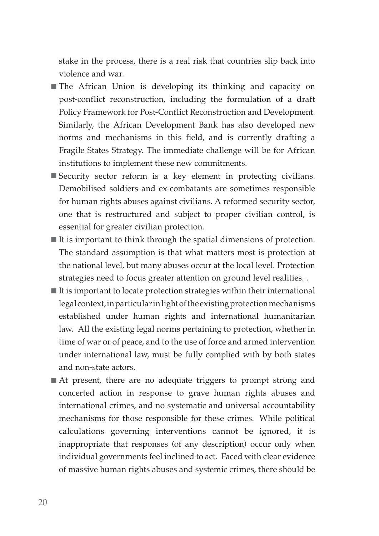stake in the process, there is a real risk that countries slip back into violence and war.

- The African Union is developing its thinking and capacity on post-conflict reconstruction, including the formulation of a draft Policy Framework for Post-Conflict Reconstruction and Development. Similarly, the African Development Bank has also developed new norms and mechanisms in this field, and is currently drafting a Fragile States Strategy. The immediate challenge will be for African institutions to implement these new commitments.
- Security sector reform is a key element in protecting civilians. Demobilised soldiers and ex-combatants are sometimes responsible for human rights abuses against civilians. A reformed security sector, one that is restructured and subject to proper civilian control, is essential for greater civilian protection.
- It is important to think through the spatial dimensions of protection. The standard assumption is that what matters most is protection at the national level, but many abuses occur at the local level. Protection strategies need to focus greater attention on ground level realities. .
- It is important to locate protection strategies within their international legal context, in particular in light of the existing protection mechanisms established under human rights and international humanitarian law. All the existing legal norms pertaining to protection, whether in time of war or of peace, and to the use of force and armed intervention under international law, must be fully complied with by both states and non-state actors.
- At present, there are no adequate triggers to prompt strong and concerted action in response to grave human rights abuses and international crimes, and no systematic and universal accountability mechanisms for those responsible for these crimes. While political calculations governing interventions cannot be ignored, it is inappropriate that responses (of any description) occur only when individual governments feel inclined to act. Faced with clear evidence of massive human rights abuses and systemic crimes, there should be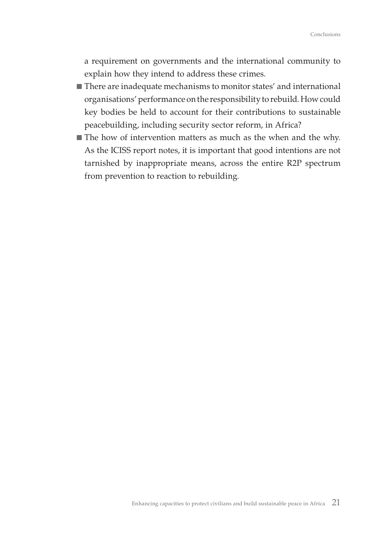a requirement on governments and the international community to explain how they intend to address these crimes.

- There are inadequate mechanisms to monitor states' and international organisations' performance on the responsibility to rebuild. How could key bodies be held to account for their contributions to sustainable peacebuilding, including security sector reform, in Africa?
- The how of intervention matters as much as the when and the why. As the ICISS report notes, it is important that good intentions are not tarnished by inappropriate means, across the entire R2P spectrum from prevention to reaction to rebuilding.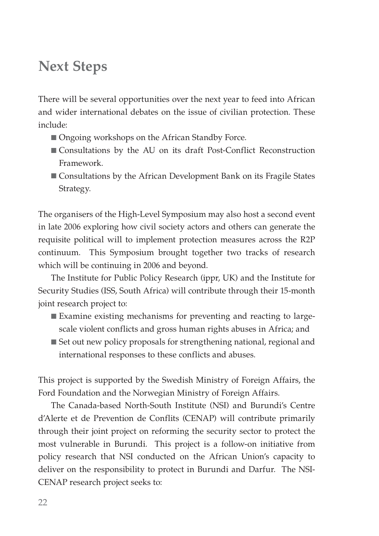# **Next Steps**

There will be several opportunities over the next year to feed into African and wider international debates on the issue of civilian protection. These include:

- Ongoing workshops on the African Standby Force.
- Consultations by the AU on its draft Post-Conflict Reconstruction Framework.
- Consultations by the African Development Bank on its Fragile States Strategy.

The organisers of the High-Level Symposium may also host a second event in late 2006 exploring how civil society actors and others can generate the requisite political will to implement protection measures across the R2P continuum. This Symposium brought together two tracks of research which will be continuing in 2006 and beyond.

The Institute for Public Policy Research (ippr, UK) and the Institute for Security Studies (ISS, South Africa) will contribute through their 15-month joint research project to:

- Examine existing mechanisms for preventing and reacting to largescale violent conflicts and gross human rights abuses in Africa; and
- Set out new policy proposals for strengthening national, regional and international responses to these conflicts and abuses.

This project is supported by the Swedish Ministry of Foreign Affairs, the Ford Foundation and the Norwegian Ministry of Foreign Affairs.

The Canada-based North-South Institute (NSI) and Burundi's Centre d'Alerte et de Prevention de Conflits (CENAP) will contribute primarily through their joint project on reforming the security sector to protect the most vulnerable in Burundi. This project is a follow-on initiative from policy research that NSI conducted on the African Union's capacity to deliver on the responsibility to protect in Burundi and Darfur. The NSI-CENAP research project seeks to: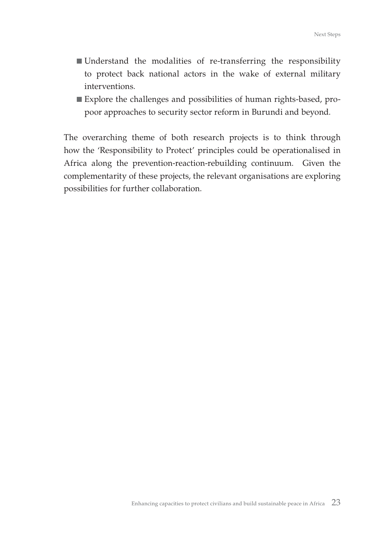- Understand the modalities of re-transferring the responsibility to protect back national actors in the wake of external military interventions.
- Explore the challenges and possibilities of human rights-based, pro-■ poor approaches to security sector reform in Burundi and beyond.

The overarching theme of both research projects is to think through how the 'Responsibility to Protect' principles could be operationalised in Africa along the prevention-reaction-rebuilding continuum. Given the complementarity of these projects, the relevant organisations are exploring possibilities for further collaboration.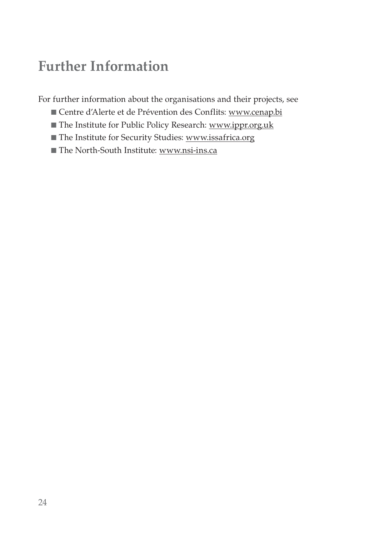# **Further Information**

For further information about the organisations and their projects, see

- Centre d'Alerte et de Prévention des Conflits: <u>www.cenap.bi</u>
- The Institute for Public Policy Research: <u>www.ippr.org.uk</u>
- The Institute for Security Studies: <u>www.issafrica.org</u>
- The North-South Institute: <u>www.nsi-ins.ca</u>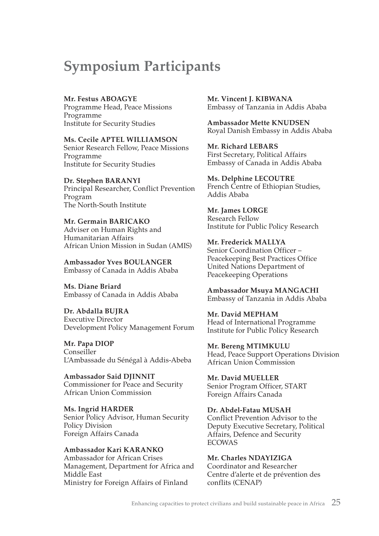# **Symposium Participants**

#### **Mr. Festus ABOAGYE**

Programme Head, Peace Missions Programme Institute for Security Studies

**Ms. Cecile APTEL WILLIAMSON** Senior Research Fellow, Peace Missions Programme Institute for Security Studies

**Dr. Stephen BARANYI** Principal Researcher, Conflict Prevention Program The North-South Institute

**Mr. Germain BARICAKO** Adviser on Human Rights and Humanitarian Affairs African Union Mission in Sudan (AMIS)

**Ambassador Yves BOULANGER** Embassy of Canada in Addis Ababa

**Ms. Diane Briard** Embassy of Canada in Addis Ababa

**Dr. Abdalla BUJRA**  Executive Director Development Policy Management Forum

**Mr. Papa DIOP** Conseiller L'Ambassade du Sénégal à Addis-Abeba

**Ambassador Said DJINNIT** Commissioner for Peace and Security African Union Commission

**Ms. Ingrid HARDER** Senior Policy Advisor, Human Security Policy Division Foreign Affairs Canada

**Ambassador Kari KARANKO** Ambassador for African Crises Management, Department for Africa and Middle East Ministry for Foreign Affairs of Finland

**Mr. Vincent J. KIBWANA** Embassy of Tanzania in Addis Ababa

**Ambassador Mette KNUDSEN** Royal Danish Embassy in Addis Ababa

**Mr. Richard LEBARS** First Secretary, Political Affairs Embassy of Canada in Addis Ababa

**Ms. Delphine LECOUTRE** French Centre of Ethiopian Studies, Addis Ababa

**Mr. James LORGE** Research Fellow Institute for Public Policy Research

**Mr. Frederick MALLYA** Senior Coordination Officer – Peacekeeping Best Practices Office United Nations Department of Peacekeeping Operations

**Ambassador Msuya MANGACHI** Embassy of Tanzania in Addis Ababa

**Mr. David MEPHAM** Head of International Programme Institute for Public Policy Research

**Mr. Bereng MTIMKULU** Head, Peace Support Operations Division African Union Commission

**Mr. David MUELLER** Senior Program Officer, START Foreign Affairs Canada

**Dr. Abdel-Fatau MUSAH** Conflict Prevention Advisor to the Deputy Executive Secretary, Political Affairs, Defence and Security ECOWAS

**Mr. Charles NDAYIZIGA** Coordinator and Researcher Centre d'alerte et de prévention des conflits (CENAP)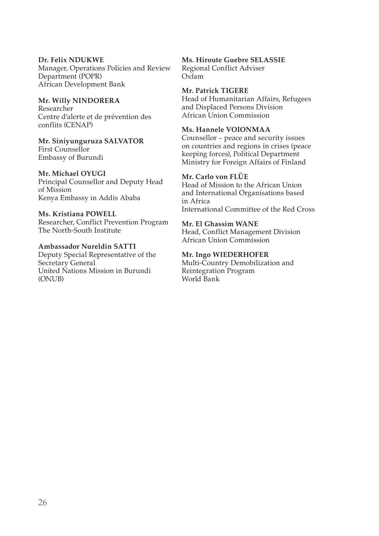### **Dr. Felix NDUKWE**

Manager, Operations Policies and Review Department (POPR) African Development Bank

#### **Mr. Willy NINDORERA**

Researcher Centre d'alerte et de prévention des conflits (CENAP)

#### **Mr. Siniyunguruza SALVATOR** First Counsellor

Embassy of Burundi

### **Mr. Michael OYUGI**

Principal Counsellor and Deputy Head of Mission Kenya Embassy in Addis Ababa

### **Ms. Kristiana POWELL**

Researcher, Conflict Prevention Program The North-South Institute

#### **Ambassador Nureldin SATTI**

Deputy Special Representative of the Secretary General United Nations Mission in Burundi (ONIJB)

### **Ms. Hiroute Guebre SELASSIE**

Regional Conflict Adviser Oxfam

#### **Mr. Patrick TIGERE**

Head of Humanitarian Affairs, Refugees and Displaced Persons Division African Union Commission

### **Ms. Hannele VOIONMAA**

Counsellor – peace and security issues on countries and regions in crises (peace keeping forces), Political Department Ministry for Foreign Affairs of Finland

### **Mr. Carlo von FLÜE**

Head of Mission to the African Union and International Organisations based in Africa International Committee of the Red Cross

### **Mr. El Ghassim WANE**

Head, Conflict Management Division African Union Commission

### **Mr. Ingo WIEDERHOFER**

Multi-Country Demobilization and Reintegration Program World Bank